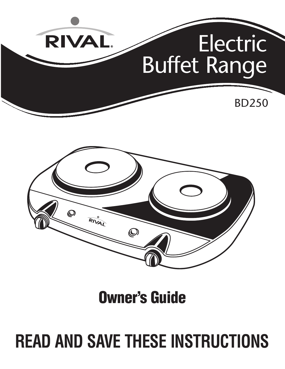



**Owner's Guide**

# **READ AND SAVE THESE INSTRUCTIONS**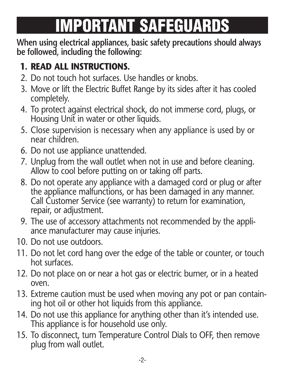## **IMPORTANT SAFEGUARDS**

**When using electrical appliances, basic safety precautions should always be followed, including the following:**

## **1. READ ALL INSTRUCTIONS.**

- 2. Do not touch hot surfaces. Use handles or knobs.
- 3. Move or lift the Electric Buffet Range by its sides after it has cooled completely.
- 4. To protect against electrical shock, do not immerse cord, plugs, or Housing Unit in water or other liquids.
- 5. Close supervision is necessary when any appliance is used by or near children.
- 6. Do not use appliance unattended.
- 7. Unplug from the wall outlet when not in use and before cleaning. Allow to cool before putting on or taking off parts.
- 8. Do not operate any appliance with a damaged cord or plug or after the appliance malfunctions, or has been damaged in any manner. Call Customer Service (see warranty) to return for examination, repair, or adjustment.
- 9. The use of accessory attachments not recommended by the appliance manufacturer may cause injuries.
- 10. Do not use outdoors.
- 11. Do not let cord hang over the edge of the table or counter, or touch hot surfaces.
- 12. Do not place on or near a hot gas or electric burner, or in a heated oven.
- 13. Extreme caution must be used when moving any pot or pan containing hot oil or other hot liquids from this appliance.
- 14. Do not use this appliance for anything other than it's intended use. This appliance is for household use only.
- 15. To disconnect, turn Temperature Control Dials to OFF, then remove plug from wall outlet.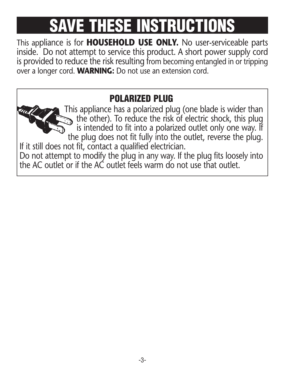## **SAVE THESE INSTRUCT**

This appliance is for **HOUSEHOLD USE ONLY.** No user-serviceable parts inside. Do not attempt to service this product. A short power supply cord is provided to reduce the risk resulting from becoming entangled in or tripping over a longer cord. **WARNING:** Do not use an extension cord.

#### **POLARIZED PLUG**

This appliance has a polarized plug (one blade is wider than the other). To reduce the risk of electric shock, this plug is intended to fit into a polarized outlet only one way. If the plug does not fit fully into the outlet, reverse the plug. If it still does not fit, contact a qualified electrician. Do not attempt to modify the plug in any way. If the plug fits loosely into the AC outlet or if the AC outlet feels warm do not use that outlet.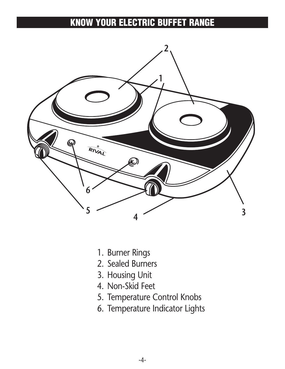#### **KNOW YOUR ELECTRIC BUFFET RANGE**



- 1. Burner Rings
- 2. Sealed Burners
- 3. Housing Unit
- 4. Non-Skid Feet
- 5. Temperature Control Knobs
- 6. Temperature Indicator Lights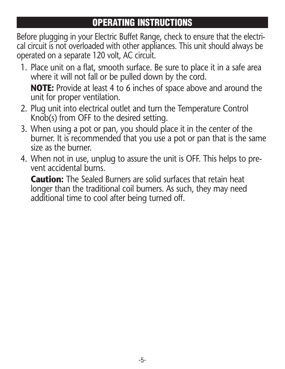#### **OPERATING INSTRUCTIONS**

Before plugging in your Electric Buffet Range, check to ensure that the electrical circuit is not overloaded with other appliances. This unit should always be operated on a separate 120 volt, AC circuit.

1. Place unit on a flat, smooth surface. Be sure to place it in a safe area where it will not fall or be pulled down by the cord.

**NOTE:** Provide at least 4 to 6 inches of space above and around the unit for proper ventilation.

- 2. Plug unit into electrical outlet and turn the Temperature Control Knob(s) from OFF to the desired setting.
- 3. When using a pot or pan, you should place it in the center of the burner. It is recommended that you use a pot or pan that is the same size as the burner.
- 4. When not in use, unplug to assure the unit is OFF. This helps to pre vent accidental burns.

**Caution:** The Sealed Burners are solid surfaces that retain heat longer than the traditional coil burners. As such, they may need additional time to cool after being turned off.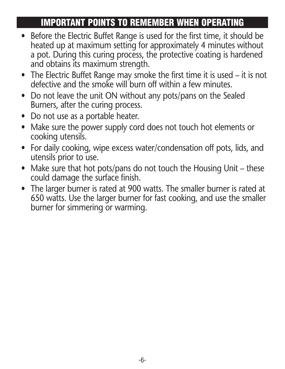#### **IMPORTANT POINTS TO REMEMBER WHEN OPERATING**

- Before the Electric Buffet Range is used for the first time, it should be heated up at maximum setting for approximately 4 minutes without a pot. During this curing process, the protective coating is hardened and obtains its maximum strength.
- The Electric Buffet Range may smoke the first time it is used it is not defective and the smoke will burn off within a few minutes.
- Do not leave the unit ON without any pots/pans on the Sealed Burners, after the curing process.
- Do not use as a portable heater.
- Make sure the power supply cord does not touch hot elements or cooking utensils.
- For daily cooking, wipe excess water/condensation off pots, lids, and utensils prior to use.
- Make sure that hot pots/pans do not touch the Housing Unit these could damage the surface finish.
- The larger burner is rated at 900 watts. The smaller burner is rated at 650 watts. Use the larger burner for fast cooking, and use the smaller burner for simmering or warming.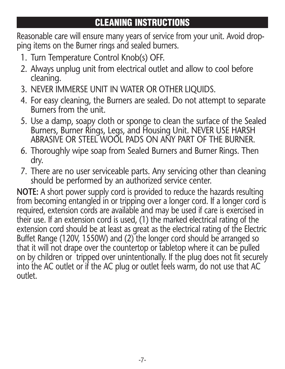#### **CLEANING INSTRUCTIONS**

Reasonable care will ensure many years of service from your unit. Avoid dropping items on the Burner rings and sealed burners.

- 1. Turn Temperature Control Knob(s) OFF.
- 2. Always unplug unit from electrical outlet and allow to cool before cleaning.
- 3. NEVER IMMERSE UNIT IN WATER OR OTHER LIQUIDS.
- 4. For easy cleaning, the Burners are sealed. Do not attempt to separate Burners from the unit.
- 5. Use a damp, soapy cloth or sponge to clean the surface of the Sealed Burners, Burner Rings, Legs, and Housing Unit. NEVER USE HARSH ABRASIVE OR STEEL WOOL PADS ON ANY PART OF THE BURNER.
- 6. Thoroughly wipe soap from Sealed Burners and Burner Rings. Then dry.
- 7. There are no user serviceable parts. Any servicing other than cleaning should be performed by an authorized service center.

**NOTE:** A short power supply cord is provided to reduce the hazards resulting from becoming entangled in or tripping over a longer cord. If a longer cord is required, extension cords are available and may be used if care is exercised in their use. If an extension cord is used, (1) the marked electrical rating of the extension cord should be at least as great as the electrical rating of the Electric Buffet Range (120V, 1550W) and (2) the longer cord should be arranged so that it will not drape over the countertop or tabletop where it can be pulled on by children or tripped over unintentionally. If the plug does not fit securely into the AC outlet or if the AC plug or outlet feels warm, do not use that AC outlet.